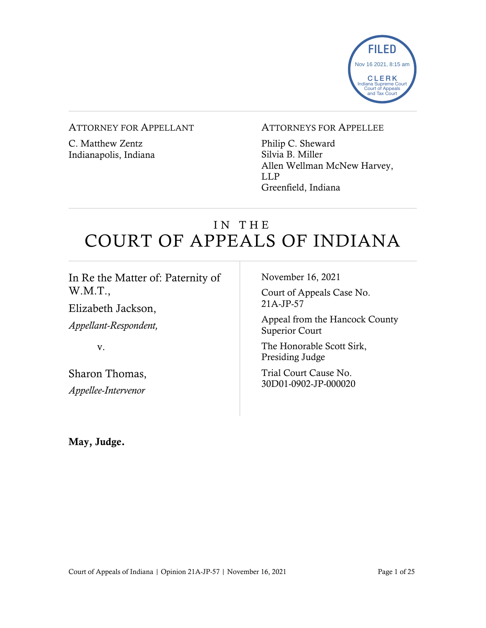

#### ATTORNEY FOR APPELLANT

C. Matthew Zentz Indianapolis, Indiana

#### ATTORNEYS FOR APPELLEE

Philip C. Sheward Silvia B. Miller Allen Wellman McNew Harvey, LLP Greenfield, Indiana

# IN THE COURT OF APPEALS OF INDIANA

| In Re the Matter of: Paternity of | November 16, 2021<br>Court of Appeals Case No.<br>$21A-JP-57$ |
|-----------------------------------|---------------------------------------------------------------|
| W.M.T.,                           |                                                               |
| Elizabeth Jackson,                |                                                               |
| Appellant-Respondent,             | Appeal from the Hancock County<br><b>Superior Court</b>       |
| V.                                | The Honorable Scott Sirk,<br>Presiding Judge                  |
| Sharon Thomas,                    | Trial Court Cause No.<br>30D01-0902-JP-000020                 |
| Appellee-Intervenor               |                                                               |
|                                   |                                                               |

May, Judge.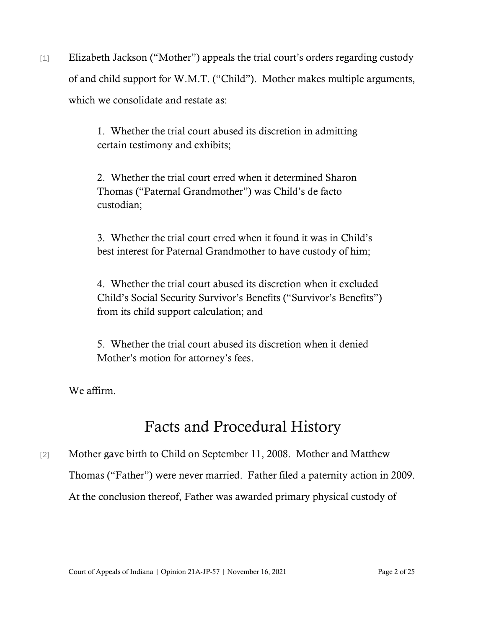[1] Elizabeth Jackson ("Mother") appeals the trial court's orders regarding custody of and child support for W.M.T. ("Child"). Mother makes multiple arguments, which we consolidate and restate as:

> 1. Whether the trial court abused its discretion in admitting certain testimony and exhibits;

> 2. Whether the trial court erred when it determined Sharon Thomas ("Paternal Grandmother") was Child's de facto custodian;

3. Whether the trial court erred when it found it was in Child's best interest for Paternal Grandmother to have custody of him;

4. Whether the trial court abused its discretion when it excluded Child's Social Security Survivor's Benefits ("Survivor's Benefits") from its child support calculation; and

5. Whether the trial court abused its discretion when it denied Mother's motion for attorney's fees.

We affirm.

# Facts and Procedural History

[2] Mother gave birth to Child on September 11, 2008. Mother and Matthew Thomas ("Father") were never married. Father filed a paternity action in 2009. At the conclusion thereof, Father was awarded primary physical custody of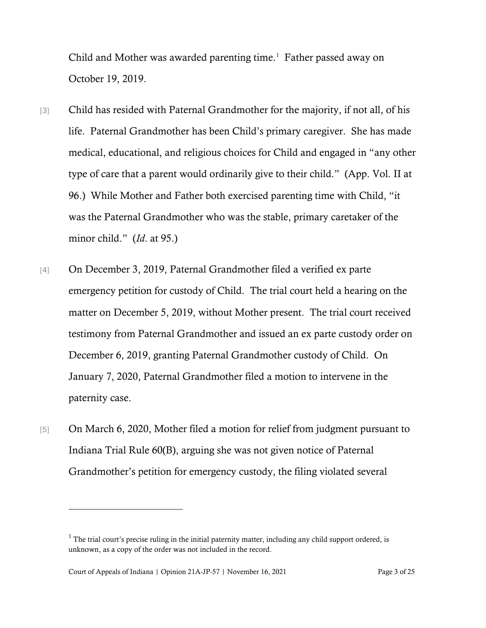Child and Mother was awarded parenting time.<sup>[1](#page-2-0)</sup> Father passed away on October 19, 2019.

- [3] Child has resided with Paternal Grandmother for the majority, if not all, of his life. Paternal Grandmother has been Child's primary caregiver. She has made medical, educational, and religious choices for Child and engaged in "any other type of care that a parent would ordinarily give to their child." (App. Vol. II at 96.) While Mother and Father both exercised parenting time with Child, "it was the Paternal Grandmother who was the stable, primary caretaker of the minor child." (*Id*. at 95.)
- [4] On December 3, 2019, Paternal Grandmother filed a verified ex parte emergency petition for custody of Child. The trial court held a hearing on the matter on December 5, 2019, without Mother present. The trial court received testimony from Paternal Grandmother and issued an ex parte custody order on December 6, 2019, granting Paternal Grandmother custody of Child. On January 7, 2020, Paternal Grandmother filed a motion to intervene in the paternity case.
- [5] On March 6, 2020, Mother filed a motion for relief from judgment pursuant to Indiana Trial Rule 60(B), arguing she was not given notice of Paternal Grandmother's petition for emergency custody, the filing violated several

<span id="page-2-0"></span> $1$  The trial court's precise ruling in the initial paternity matter, including any child support ordered, is unknown, as a copy of the order was not included in the record.

Court of Appeals of Indiana | Opinion 21A-JP-57 | November 16, 2021 Page 3 of 25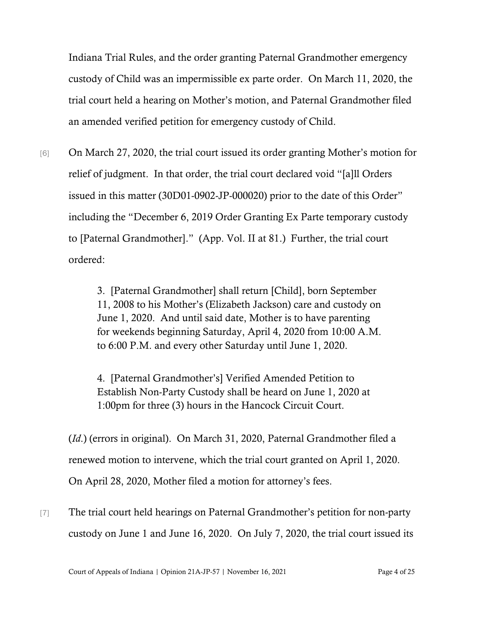Indiana Trial Rules, and the order granting Paternal Grandmother emergency custody of Child was an impermissible ex parte order. On March 11, 2020, the trial court held a hearing on Mother's motion, and Paternal Grandmother filed an amended verified petition for emergency custody of Child.

[6] On March 27, 2020, the trial court issued its order granting Mother's motion for relief of judgment. In that order, the trial court declared void "[a]ll Orders issued in this matter (30D01-0902-JP-000020) prior to the date of this Order" including the "December 6, 2019 Order Granting Ex Parte temporary custody to [Paternal Grandmother]." (App. Vol. II at 81.) Further, the trial court ordered:

> 3. [Paternal Grandmother] shall return [Child], born September 11, 2008 to his Mother's (Elizabeth Jackson) care and custody on June 1, 2020. And until said date, Mother is to have parenting for weekends beginning Saturday, April 4, 2020 from 10:00 A.M. to 6:00 P.M. and every other Saturday until June 1, 2020.

4. [Paternal Grandmother's] Verified Amended Petition to Establish Non-Party Custody shall be heard on June 1, 2020 at 1:00pm for three (3) hours in the Hancock Circuit Court.

(*Id*.) (errors in original). On March 31, 2020, Paternal Grandmother filed a renewed motion to intervene, which the trial court granted on April 1, 2020. On April 28, 2020, Mother filed a motion for attorney's fees.

[7] The trial court held hearings on Paternal Grandmother's petition for non-party custody on June 1 and June 16, 2020. On July 7, 2020, the trial court issued its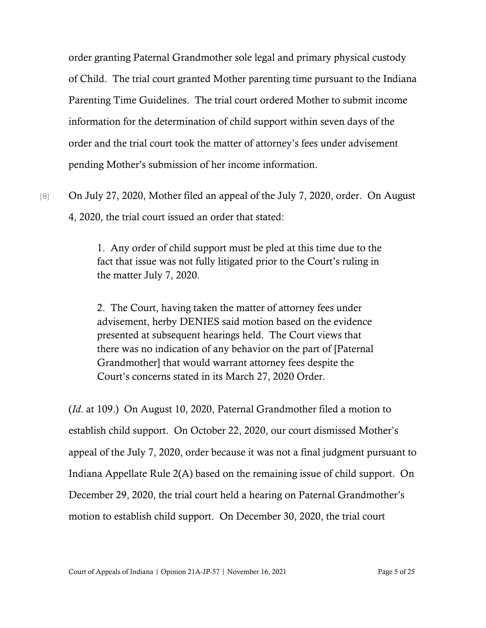order granting Paternal Grandmother sole legal and primary physical custody of Child. The trial court granted Mother parenting time pursuant to the Indiana Parenting Time Guidelines. The trial court ordered Mother to submit income information for the determination of child support within seven days of the order and the trial court took the matter of attorney's fees under advisement pending Mother's submission of her income information.

[8] On July 27, 2020, Mother filed an appeal of the July 7, 2020, order. On August 4, 2020, the trial court issued an order that stated:

> 1. Any order of child support must be pled at this time due to the fact that issue was not fully litigated prior to the Court's ruling in the matter July 7, 2020.

2. The Court, having taken the matter of attorney fees under advisement, herby DENIES said motion based on the evidence presented at subsequent hearings held. The Court views that there was no indication of any behavior on the part of [Paternal Grandmother] that would warrant attorney fees despite the Court's concerns stated in its March 27, 2020 Order.

(*Id*. at 109.) On August 10, 2020, Paternal Grandmother filed a motion to establish child support. On October 22, 2020, our court dismissed Mother's appeal of the July 7, 2020, order because it was not a final judgment pursuant to Indiana Appellate Rule 2(A) based on the remaining issue of child support. On December 29, 2020, the trial court held a hearing on Paternal Grandmother's motion to establish child support. On December 30, 2020, the trial court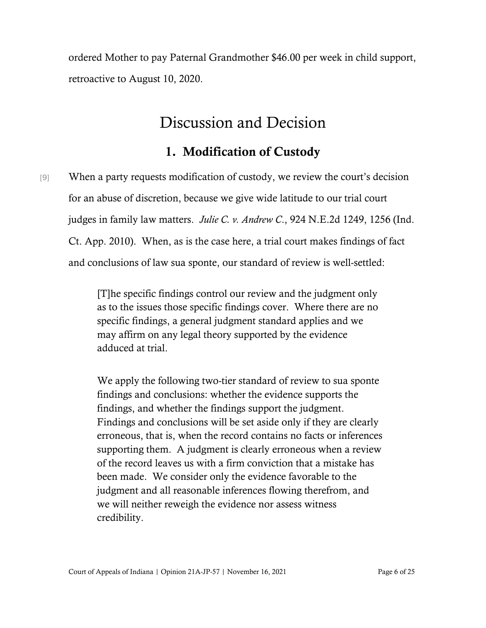ordered Mother to pay Paternal Grandmother \$46.00 per week in child support, retroactive to August 10, 2020.

## Discussion and Decision

### 1. Modification of Custody

[9] When a party requests modification of custody, we review the court's decision for an abuse of discretion, because we give wide latitude to our trial court judges in family law matters. *Julie C. v. Andrew C*., 924 N.E.2d 1249, 1256 (Ind. Ct. App. 2010). When, as is the case here, a trial court makes findings of fact and conclusions of law sua sponte, our standard of review is well-settled:

> [T]he specific findings control our review and the judgment only as to the issues those specific findings cover. Where there are no specific findings, a general judgment standard applies and we may affirm on any legal theory supported by the evidence adduced at trial.

We apply the following two-tier standard of review to sua sponte findings and conclusions: whether the evidence supports the findings, and whether the findings support the judgment. Findings and conclusions will be set aside only if they are clearly erroneous, that is, when the record contains no facts or inferences supporting them. A judgment is clearly erroneous when a review of the record leaves us with a firm conviction that a mistake has been made. We consider only the evidence favorable to the judgment and all reasonable inferences flowing therefrom, and we will neither reweigh the evidence nor assess witness credibility.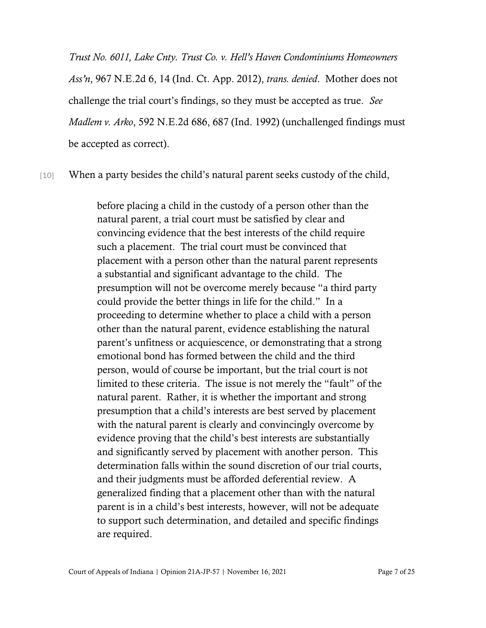*Trust No. 6011, Lake Cnty. Trust Co. v. Hell's Haven Condominiums Homeowners Ass'n*, 967 N.E.2d 6, 14 (Ind. Ct. App. 2012), *trans. denied*. Mother does not challenge the trial court's findings, so they must be accepted as true. *See Madlem v. Arko*, 592 N.E.2d 686, 687 (Ind. 1992) (unchallenged findings must be accepted as correct).

[10] When a party besides the child's natural parent seeks custody of the child,

before placing a child in the custody of a person other than the natural parent, a trial court must be satisfied by clear and convincing evidence that the best interests of the child require such a placement. The trial court must be convinced that placement with a person other than the natural parent represents a substantial and significant advantage to the child. The presumption will not be overcome merely because "a third party could provide the better things in life for the child." In a proceeding to determine whether to place a child with a person other than the natural parent, evidence establishing the natural parent's unfitness or acquiescence, or demonstrating that a strong emotional bond has formed between the child and the third person, would of course be important, but the trial court is not limited to these criteria. The issue is not merely the "fault" of the natural parent. Rather, it is whether the important and strong presumption that a child's interests are best served by placement with the natural parent is clearly and convincingly overcome by evidence proving that the child's best interests are substantially and significantly served by placement with another person. This determination falls within the sound discretion of our trial courts, and their judgments must be afforded deferential review. A generalized finding that a placement other than with the natural parent is in a child's best interests, however, will not be adequate to support such determination, and detailed and specific findings are required.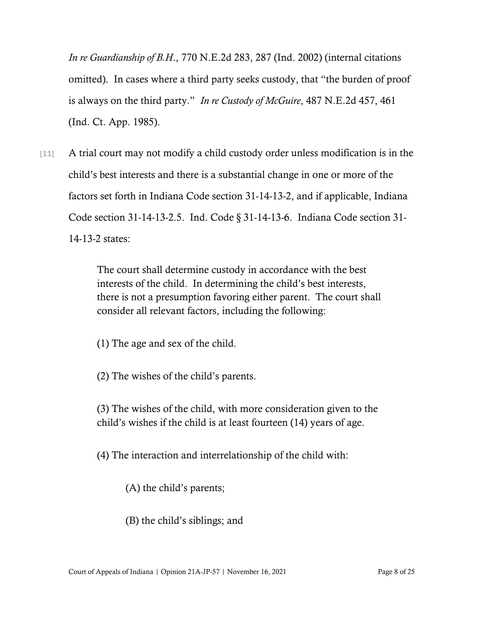*In re Guardianship of B.H*., 770 N.E.2d 283, 287 (Ind. 2002) (internal citations omitted). In cases where a third party seeks custody, that "the burden of proof is always on the third party." *In re Custody of McGuire*, 487 N.E.2d 457, 461 (Ind. Ct. App. 1985).

[11] A trial court may not modify a child custody order unless modification is in the child's best interests and there is a substantial change in one or more of the factors set forth in Indiana Code section 31-14-13-2, and if applicable, Indiana Code section 31-14-13-2.5. Ind. Code § 31-14-13-6. Indiana Code section 31- 14-13-2 states:

> The court shall determine custody in accordance with the best interests of the child. In determining the child's best interests, there is not a presumption favoring either parent. The court shall consider all relevant factors, including the following:

(1) The age and sex of the child.

(2) The wishes of the child's parents.

(3) The wishes of the child, with more consideration given to the child's wishes if the child is at least fourteen (14) years of age.

(4) The interaction and interrelationship of the child with:

(A) the child's parents;

(B) the child's siblings; and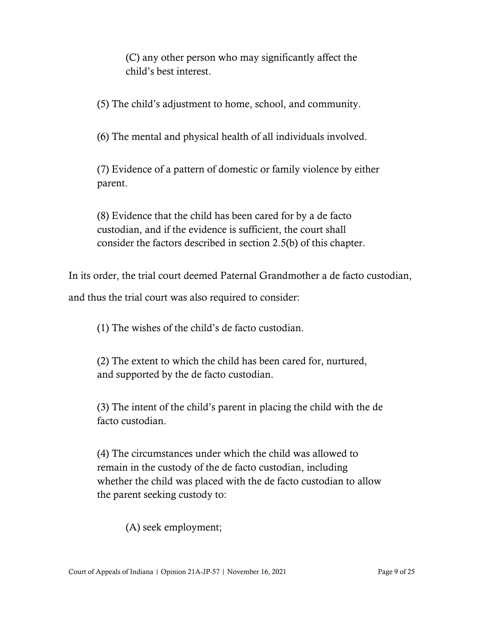(C) any other person who may significantly affect the child's best interest.

(5) The child's adjustment to home, school, and community.

(6) The mental and physical health of all individuals involved.

(7) Evidence of a pattern of domestic or family violence by either parent.

(8) Evidence that the child has been cared for by a de facto custodian, and if the evidence is sufficient, the court shall consider the factors described in section 2.5(b) of this chapter.

In its order, the trial court deemed Paternal Grandmother a de facto custodian, and thus the trial court was also required to consider:

(1) The wishes of the child's de facto custodian.

(2) The extent to which the child has been cared for, nurtured, and supported by the de facto custodian.

(3) The intent of the child's parent in placing the child with the de facto custodian.

(4) The circumstances under which the child was allowed to remain in the custody of the de facto custodian, including whether the child was placed with the de facto custodian to allow the parent seeking custody to:

(A) seek employment;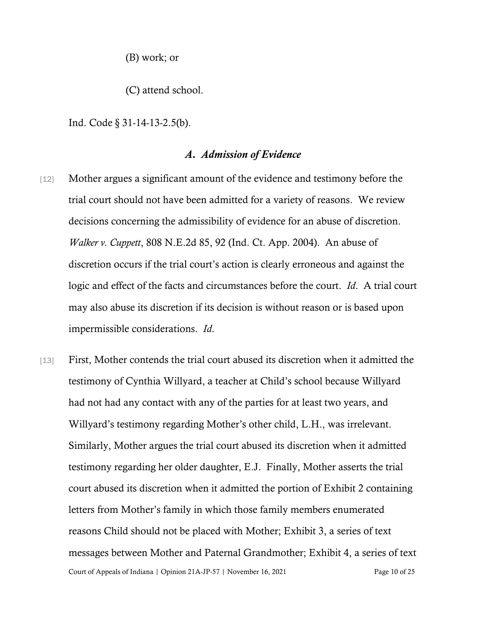(B) work; or

(C) attend school.

Ind. Code § 31-14-13-2.5(b).

#### *A. Admission of Evidence*

- [12] Mother argues a significant amount of the evidence and testimony before the trial court should not have been admitted for a variety of reasons. We review decisions concerning the admissibility of evidence for an abuse of discretion. *Walker v. Cuppett*, 808 N.E.2d 85, 92 (Ind. Ct. App. 2004). An abuse of discretion occurs if the trial court's action is clearly erroneous and against the logic and effect of the facts and circumstances before the court. *Id*. A trial court may also abuse its discretion if its decision is without reason or is based upon impermissible considerations. *Id*.
- Court of Appeals of Indiana | Opinion 21A-JP-57 | November 16, 2021 Page 10 of 25 [13] First, Mother contends the trial court abused its discretion when it admitted the testimony of Cynthia Willyard, a teacher at Child's school because Willyard had not had any contact with any of the parties for at least two years, and Willyard's testimony regarding Mother's other child, L.H., was irrelevant. Similarly, Mother argues the trial court abused its discretion when it admitted testimony regarding her older daughter, E.J. Finally, Mother asserts the trial court abused its discretion when it admitted the portion of Exhibit 2 containing letters from Mother's family in which those family members enumerated reasons Child should not be placed with Mother; Exhibit 3, a series of text messages between Mother and Paternal Grandmother; Exhibit 4, a series of text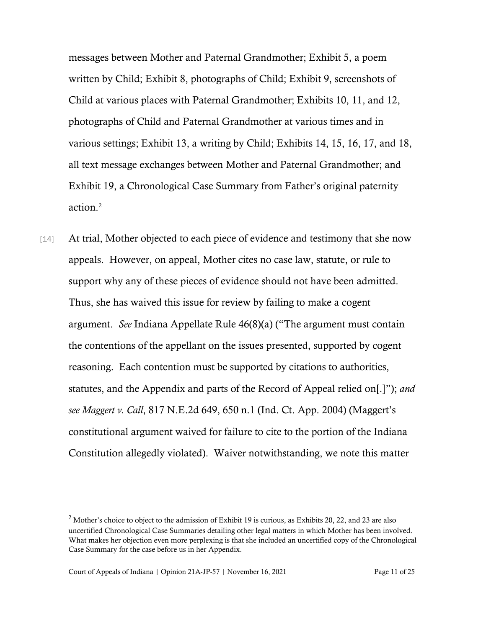messages between Mother and Paternal Grandmother; Exhibit 5, a poem written by Child; Exhibit 8, photographs of Child; Exhibit 9, screenshots of Child at various places with Paternal Grandmother; Exhibits 10, 11, and 12, photographs of Child and Paternal Grandmother at various times and in various settings; Exhibit 13, a writing by Child; Exhibits 14, 15, 16, 17, and 18, all text message exchanges between Mother and Paternal Grandmother; and Exhibit 19, a Chronological Case Summary from Father's original paternity action.[2](#page-10-0)

[14] At trial, Mother objected to each piece of evidence and testimony that she now appeals. However, on appeal, Mother cites no case law, statute, or rule to support why any of these pieces of evidence should not have been admitted. Thus, she has waived this issue for review by failing to make a cogent argument. *See* Indiana Appellate Rule 46(8)(a) ("The argument must contain the contentions of the appellant on the issues presented, supported by cogent reasoning. Each contention must be supported by citations to authorities, statutes, and the Appendix and parts of the Record of Appeal relied on[.]"); *and see Maggert v. Call*, 817 N.E.2d 649, 650 n.1 (Ind. Ct. App. 2004) (Maggert's constitutional argument waived for failure to cite to the portion of the Indiana Constitution allegedly violated). Waiver notwithstanding, we note this matter

<span id="page-10-0"></span><sup>&</sup>lt;sup>2</sup> Mother's choice to object to the admission of Exhibit 19 is curious, as Exhibits 20, 22, and 23 are also uncertified Chronological Case Summaries detailing other legal matters in which Mother has been involved. What makes her objection even more perplexing is that she included an uncertified copy of the Chronological Case Summary for the case before us in her Appendix.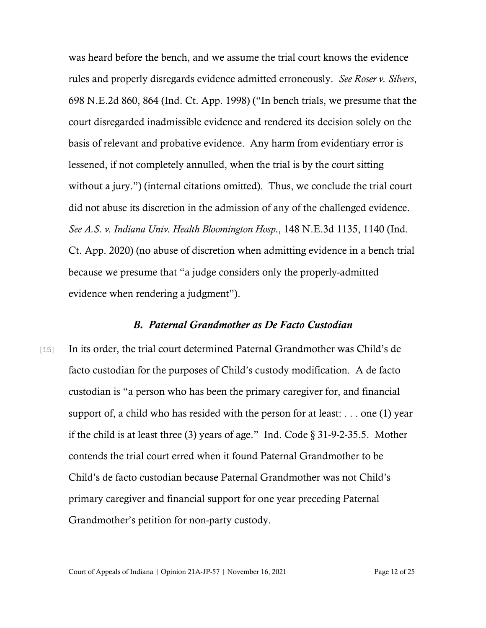was heard before the bench, and we assume the trial court knows the evidence rules and properly disregards evidence admitted erroneously. *See Roser v. Silvers*, 698 N.E.2d 860, 864 (Ind. Ct. App. 1998) ("In bench trials, we presume that the court disregarded inadmissible evidence and rendered its decision solely on the basis of relevant and probative evidence. Any harm from evidentiary error is lessened, if not completely annulled, when the trial is by the court sitting without a jury.") (internal citations omitted). Thus, we conclude the trial court did not abuse its discretion in the admission of any of the challenged evidence. *See A.S. v. Indiana Univ. Health Bloomington Hosp.*, 148 N.E.3d 1135, 1140 (Ind. Ct. App. 2020) (no abuse of discretion when admitting evidence in a bench trial because we presume that "a judge considers only the properly-admitted evidence when rendering a judgment").

#### *B. Paternal Grandmother as De Facto Custodian*

[15] In its order, the trial court determined Paternal Grandmother was Child's de facto custodian for the purposes of Child's custody modification. A de facto custodian is "a person who has been the primary caregiver for, and financial support of, a child who has resided with the person for at least: . . . one (1) year if the child is at least three (3) years of age." Ind. Code § 31-9-2-35.5. Mother contends the trial court erred when it found Paternal Grandmother to be Child's de facto custodian because Paternal Grandmother was not Child's primary caregiver and financial support for one year preceding Paternal Grandmother's petition for non-party custody.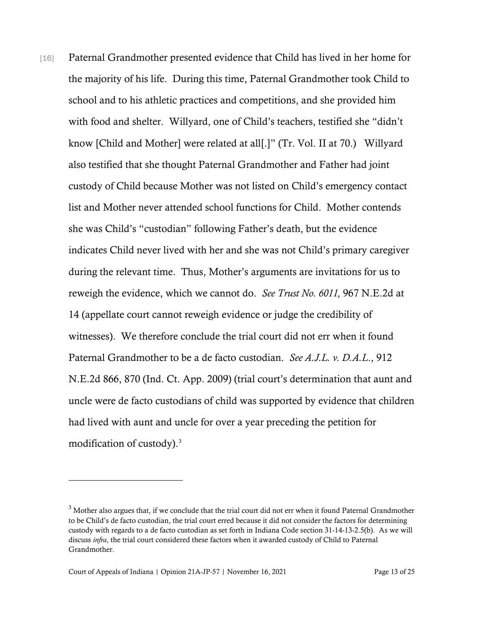[16] Paternal Grandmother presented evidence that Child has lived in her home for the majority of his life. During this time, Paternal Grandmother took Child to school and to his athletic practices and competitions, and she provided him with food and shelter. Willyard, one of Child's teachers, testified she "didn't know [Child and Mother] were related at all[.]" (Tr. Vol. II at 70.) Willyard also testified that she thought Paternal Grandmother and Father had joint custody of Child because Mother was not listed on Child's emergency contact list and Mother never attended school functions for Child. Mother contends she was Child's "custodian" following Father's death, but the evidence indicates Child never lived with her and she was not Child's primary caregiver during the relevant time. Thus, Mother's arguments are invitations for us to reweigh the evidence, which we cannot do. *See Trust No. 6011,* 967 N.E.2d at 14 (appellate court cannot reweigh evidence or judge the credibility of witnesses). We therefore conclude the trial court did not err when it found Paternal Grandmother to be a de facto custodian. *See A.J.L. v. D.A.L*., 912 N.E.2d 866, 870 (Ind. Ct. App. 2009) (trial court's determination that aunt and uncle were de facto custodians of child was supported by evidence that children had lived with aunt and uncle for over a year preceding the petition for modification of custody).<sup>[3](#page-12-0)</sup>

<span id="page-12-0"></span> $3$  Mother also argues that, if we conclude that the trial court did not err when it found Paternal Grandmother to be Child's de facto custodian, the trial court erred because it did not consider the factors for determining custody with regards to a de facto custodian as set forth in Indiana Code section 31-14-13-2.5(b). As we will discuss *infra*, the trial court considered these factors when it awarded custody of Child to Paternal Grandmother.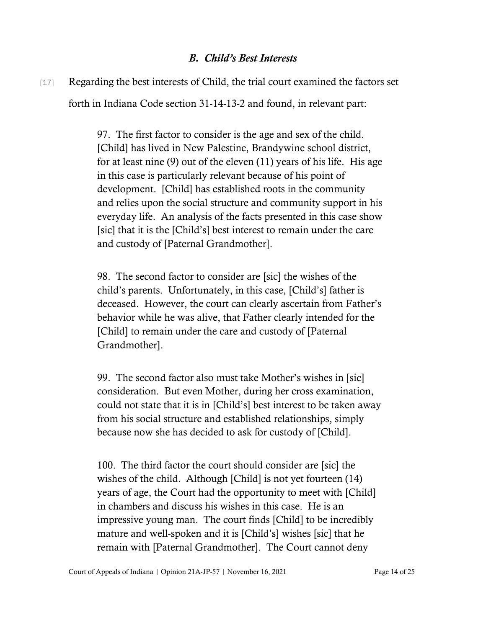#### *B. Child's Best Interests*

[17] Regarding the best interests of Child, the trial court examined the factors set forth in Indiana Code section 31-14-13-2 and found, in relevant part:

> 97. The first factor to consider is the age and sex of the child. [Child] has lived in New Palestine, Brandywine school district, for at least nine (9) out of the eleven (11) years of his life. His age in this case is particularly relevant because of his point of development. [Child] has established roots in the community and relies upon the social structure and community support in his everyday life. An analysis of the facts presented in this case show [sic] that it is the [Child's] best interest to remain under the care and custody of [Paternal Grandmother].

> 98. The second factor to consider are [sic] the wishes of the child's parents. Unfortunately, in this case, [Child's] father is deceased. However, the court can clearly ascertain from Father's behavior while he was alive, that Father clearly intended for the [Child] to remain under the care and custody of [Paternal Grandmother].

> 99. The second factor also must take Mother's wishes in [sic] consideration. But even Mother, during her cross examination, could not state that it is in [Child's] best interest to be taken away from his social structure and established relationships, simply because now she has decided to ask for custody of [Child].

100. The third factor the court should consider are [sic] the wishes of the child. Although [Child] is not yet fourteen (14) years of age, the Court had the opportunity to meet with [Child] in chambers and discuss his wishes in this case. He is an impressive young man. The court finds [Child] to be incredibly mature and well-spoken and it is [Child's] wishes [sic] that he remain with [Paternal Grandmother]. The Court cannot deny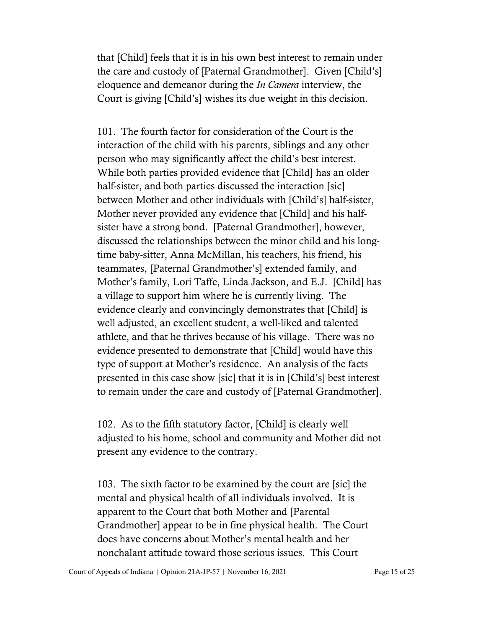that [Child] feels that it is in his own best interest to remain under the care and custody of [Paternal Grandmother]. Given [Child's] eloquence and demeanor during the *In Camera* interview, the Court is giving [Child's] wishes its due weight in this decision.

101. The fourth factor for consideration of the Court is the interaction of the child with his parents, siblings and any other person who may significantly affect the child's best interest. While both parties provided evidence that [Child] has an older half-sister, and both parties discussed the interaction [sic] between Mother and other individuals with [Child's] half-sister, Mother never provided any evidence that [Child] and his halfsister have a strong bond. [Paternal Grandmother], however, discussed the relationships between the minor child and his longtime baby-sitter, Anna McMillan, his teachers, his friend, his teammates, [Paternal Grandmother's] extended family, and Mother's family, Lori Taffe, Linda Jackson, and E.J. [Child] has a village to support him where he is currently living. The evidence clearly and convincingly demonstrates that [Child] is well adjusted, an excellent student, a well-liked and talented athlete, and that he thrives because of his village. There was no evidence presented to demonstrate that [Child] would have this type of support at Mother's residence. An analysis of the facts presented in this case show [sic] that it is in [Child's] best interest to remain under the care and custody of [Paternal Grandmother].

102. As to the fifth statutory factor, [Child] is clearly well adjusted to his home, school and community and Mother did not present any evidence to the contrary.

103. The sixth factor to be examined by the court are [sic] the mental and physical health of all individuals involved. It is apparent to the Court that both Mother and [Parental Grandmother] appear to be in fine physical health. The Court does have concerns about Mother's mental health and her nonchalant attitude toward those serious issues. This Court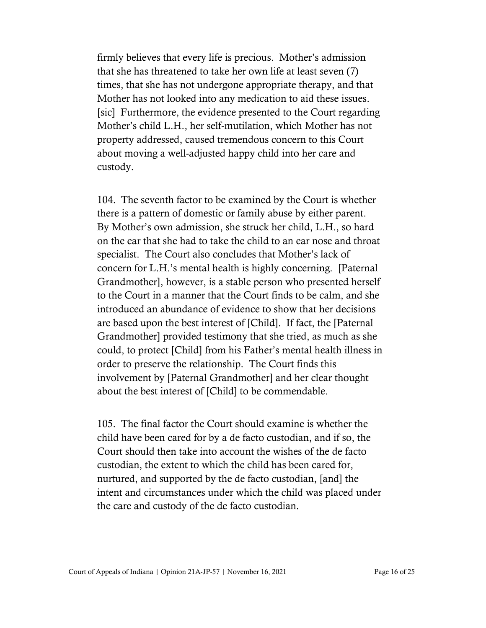firmly believes that every life is precious. Mother's admission that she has threatened to take her own life at least seven (7) times, that she has not undergone appropriate therapy, and that Mother has not looked into any medication to aid these issues. [sic] Furthermore, the evidence presented to the Court regarding Mother's child L.H., her self-mutilation, which Mother has not property addressed, caused tremendous concern to this Court about moving a well-adjusted happy child into her care and custody.

104. The seventh factor to be examined by the Court is whether there is a pattern of domestic or family abuse by either parent. By Mother's own admission, she struck her child, L.H., so hard on the ear that she had to take the child to an ear nose and throat specialist. The Court also concludes that Mother's lack of concern for L.H.'s mental health is highly concerning. [Paternal Grandmother], however, is a stable person who presented herself to the Court in a manner that the Court finds to be calm, and she introduced an abundance of evidence to show that her decisions are based upon the best interest of [Child]. If fact, the [Paternal Grandmother] provided testimony that she tried, as much as she could, to protect [Child] from his Father's mental health illness in order to preserve the relationship. The Court finds this involvement by [Paternal Grandmother] and her clear thought about the best interest of [Child] to be commendable.

105. The final factor the Court should examine is whether the child have been cared for by a de facto custodian, and if so, the Court should then take into account the wishes of the de facto custodian, the extent to which the child has been cared for, nurtured, and supported by the de facto custodian, [and] the intent and circumstances under which the child was placed under the care and custody of the de facto custodian.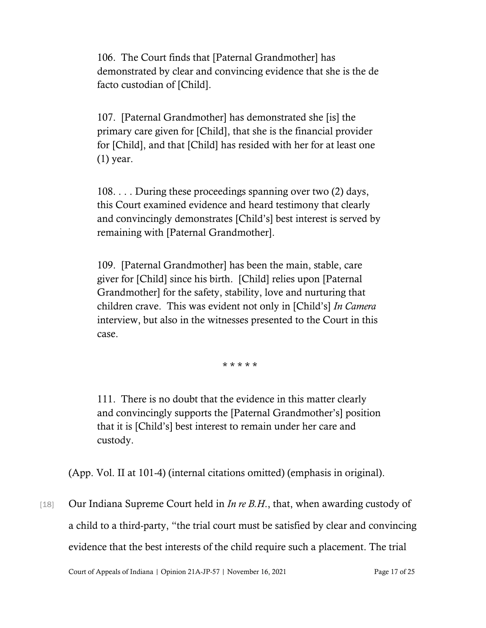106. The Court finds that [Paternal Grandmother] has demonstrated by clear and convincing evidence that she is the de facto custodian of [Child].

107. [Paternal Grandmother] has demonstrated she [is] the primary care given for [Child], that she is the financial provider for [Child], and that [Child] has resided with her for at least one (1) year.

108. . . . During these proceedings spanning over two (2) days, this Court examined evidence and heard testimony that clearly and convincingly demonstrates [Child's] best interest is served by remaining with [Paternal Grandmother].

109. [Paternal Grandmother] has been the main, stable, care giver for [Child] since his birth. [Child] relies upon [Paternal Grandmother] for the safety, stability, love and nurturing that children crave. This was evident not only in [Child's] *In Camera* interview, but also in the witnesses presented to the Court in this case.

\* \* \* \* \*

111. There is no doubt that the evidence in this matter clearly and convincingly supports the [Paternal Grandmother's] position that it is [Child's] best interest to remain under her care and custody.

(App. Vol. II at 101-4) (internal citations omitted) (emphasis in original).

[18] Our Indiana Supreme Court held in *In re B.H*., that, when awarding custody of a child to a third-party, "the trial court must be satisfied by clear and convincing evidence that the best interests of the child require such a placement. The trial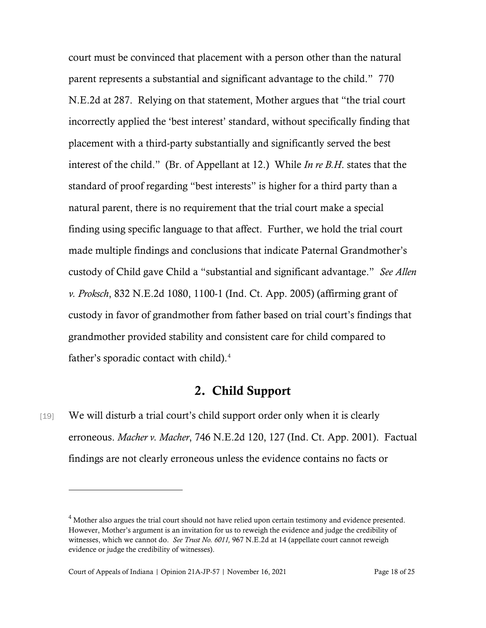court must be convinced that placement with a person other than the natural parent represents a substantial and significant advantage to the child." 770 N.E.2d at 287. Relying on that statement, Mother argues that "the trial court incorrectly applied the 'best interest' standard, without specifically finding that placement with a third-party substantially and significantly served the best interest of the child." (Br. of Appellant at 12.) While *In re B.H*. states that the standard of proof regarding "best interests" is higher for a third party than a natural parent, there is no requirement that the trial court make a special finding using specific language to that affect. Further, we hold the trial court made multiple findings and conclusions that indicate Paternal Grandmother's custody of Child gave Child a "substantial and significant advantage." *See Allen v. Proksch*, 832 N.E.2d 1080, 1100-1 (Ind. Ct. App. 2005) (affirming grant of custody in favor of grandmother from father based on trial court's findings that grandmother provided stability and consistent care for child compared to father's sporadic contact with child).<sup>[4](#page-17-0)</sup>

### 2. Child Support

[19] We will disturb a trial court's child support order only when it is clearly erroneous. *Macher v. Macher*, 746 N.E.2d 120, 127 (Ind. Ct. App. 2001). Factual findings are not clearly erroneous unless the evidence contains no facts or

<span id="page-17-0"></span><sup>&</sup>lt;sup>4</sup> Mother also argues the trial court should not have relied upon certain testimony and evidence presented. However, Mother's argument is an invitation for us to reweigh the evidence and judge the credibility of witnesses, which we cannot do. *See Trust No. 6011,* 967 N.E.2d at 14 (appellate court cannot reweigh evidence or judge the credibility of witnesses).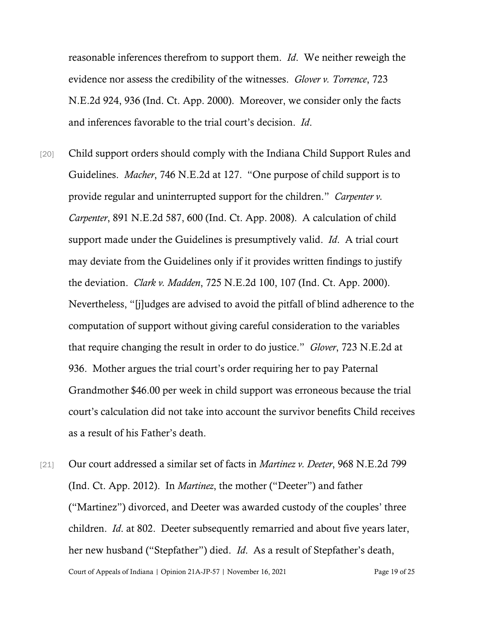reasonable inferences therefrom to support them. *Id*. We neither reweigh the evidence nor assess the credibility of the witnesses. *Glover v. Torrence*, 723 N.E.2d 924, 936 (Ind. Ct. App. 2000). Moreover, we consider only the facts and inferences favorable to the trial court's decision. *Id*.

[20] Child support orders should comply with the Indiana Child Support Rules and Guidelines. *Macher*, 746 N.E.2d at 127. "One purpose of child support is to provide regular and uninterrupted support for the children." *Carpenter v. Carpenter*, 891 N.E.2d 587, 600 (Ind. Ct. App. 2008). A calculation of child support made under the Guidelines is presumptively valid. *Id*. A trial court may deviate from the Guidelines only if it provides written findings to justify the deviation. *Clark v. Madden*, 725 N.E.2d 100, 107 (Ind. Ct. App. 2000). Nevertheless, "[j]udges are advised to avoid the pitfall of blind adherence to the computation of support without giving careful consideration to the variables that require changing the result in order to do justice." *Glover*, 723 N.E.2d at 936. Mother argues the trial court's order requiring her to pay Paternal Grandmother \$46.00 per week in child support was erroneous because the trial court's calculation did not take into account the survivor benefits Child receives as a result of his Father's death.

Court of Appeals of Indiana | Opinion 21A-JP-57 | November 16, 2021 Page 19 of 25 [21] Our court addressed a similar set of facts in *Martinez v. Deeter*, 968 N.E.2d 799 (Ind. Ct. App. 2012). In *Martinez*, the mother ("Deeter") and father ("Martinez") divorced, and Deeter was awarded custody of the couples' three children. *Id*. at 802. Deeter subsequently remarried and about five years later, her new husband ("Stepfather") died. *Id*. As a result of Stepfather's death,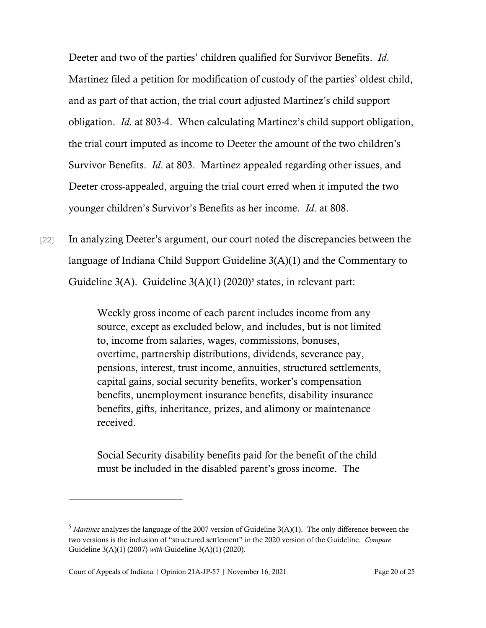Deeter and two of the parties' children qualified for Survivor Benefits. *Id*. Martinez filed a petition for modification of custody of the parties' oldest child, and as part of that action, the trial court adjusted Martinez's child support obligation. *Id*. at 803-4. When calculating Martinez's child support obligation, the trial court imputed as income to Deeter the amount of the two children's Survivor Benefits. *Id*. at 803. Martinez appealed regarding other issues, and Deeter cross-appealed, arguing the trial court erred when it imputed the two younger children's Survivor's Benefits as her income. *Id*. at 808.

[22] In analyzing Deeter's argument, our court noted the discrepancies between the language of Indiana Child Support Guideline 3(A)(1) and the Commentary to Guideline 3(A). Guideline  $3(A)(1)$  (2020)<sup>[5](#page-19-0)</sup> states, in relevant part:

> Weekly gross income of each parent includes income from any source, except as excluded below, and includes, but is not limited to, income from salaries, wages, commissions, bonuses, overtime, partnership distributions, dividends, severance pay, pensions, interest, trust income, annuities, structured settlements, capital gains, social security benefits, worker's compensation benefits, unemployment insurance benefits, disability insurance benefits, gifts, inheritance, prizes, and alimony or maintenance received.

Social Security disability benefits paid for the benefit of the child must be included in the disabled parent's gross income. The

<span id="page-19-0"></span><sup>5</sup> *Martinez* analyzes the language of the 2007 version of Guideline 3(A)(1). The only difference between the two versions is the inclusion of "structured settlement" in the 2020 version of the Guideline. *Compare*  Guideline 3(A)(1) (2007) *with* Guideline 3(A)(1) (2020).

Court of Appeals of Indiana | Opinion 21A-JP-57 | November 16, 2021 Page 20 of 25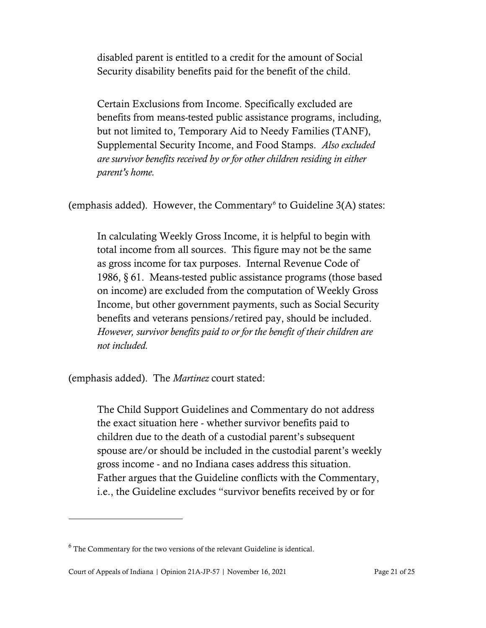disabled parent is entitled to a credit for the amount of Social Security disability benefits paid for the benefit of the child.

Certain Exclusions from Income. Specifically excluded are benefits from means-tested public assistance programs, including, but not limited to, Temporary Aid to Needy Families (TANF), Supplemental Security Income, and Food Stamps. *Also excluded are survivor benefits received by or for other children residing in either parent's home.*

(emphasis added). However, the Commentary<sup> $6$ </sup> to Guideline  $3(A)$  states:

In calculating Weekly Gross Income, it is helpful to begin with total income from all sources. This figure may not be the same as gross income for tax purposes. Internal Revenue Code of 1986, § 61. Means-tested public assistance programs (those based on income) are excluded from the computation of Weekly Gross Income, but other government payments, such as Social Security benefits and veterans pensions/retired pay, should be included. *However, survivor benefits paid to or for the benefit of their children are not included.*

(emphasis added). The *Martinez* court stated:

The Child Support Guidelines and Commentary do not address the exact situation here - whether survivor benefits paid to children due to the death of a custodial parent's subsequent spouse are/or should be included in the custodial parent's weekly gross income - and no Indiana cases address this situation. Father argues that the Guideline conflicts with the Commentary, i.e., the Guideline excludes "survivor benefits received by or for

<span id="page-20-0"></span> $6$  The Commentary for the two versions of the relevant Guideline is identical.

Court of Appeals of Indiana | Opinion 21A-JP-57 | November 16, 2021 Page 21 of 25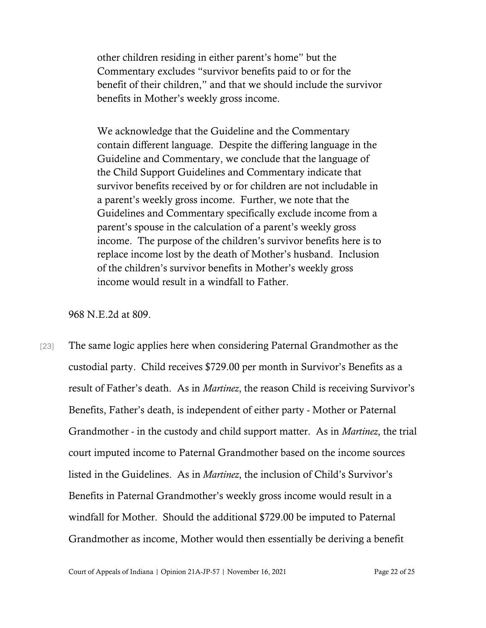other children residing in either parent's home" but the Commentary excludes "survivor benefits paid to or for the benefit of their children," and that we should include the survivor benefits in Mother's weekly gross income.

We acknowledge that the Guideline and the Commentary contain different language. Despite the differing language in the Guideline and Commentary, we conclude that the language of the Child Support Guidelines and Commentary indicate that survivor benefits received by or for children are not includable in a parent's weekly gross income. Further, we note that the Guidelines and Commentary specifically exclude income from a parent's spouse in the calculation of a parent's weekly gross income. The purpose of the children's survivor benefits here is to replace income lost by the death of Mother's husband. Inclusion of the children's survivor benefits in Mother's weekly gross income would result in a windfall to Father.

968 N.E.2d at 809.

[23] The same logic applies here when considering Paternal Grandmother as the custodial party. Child receives \$729.00 per month in Survivor's Benefits as a result of Father's death. As in *Martinez*, the reason Child is receiving Survivor's Benefits, Father's death, is independent of either party - Mother or Paternal Grandmother - in the custody and child support matter. As in *Martinez*, the trial court imputed income to Paternal Grandmother based on the income sources listed in the Guidelines. As in *Martinez*, the inclusion of Child's Survivor's Benefits in Paternal Grandmother's weekly gross income would result in a windfall for Mother. Should the additional \$729.00 be imputed to Paternal Grandmother as income, Mother would then essentially be deriving a benefit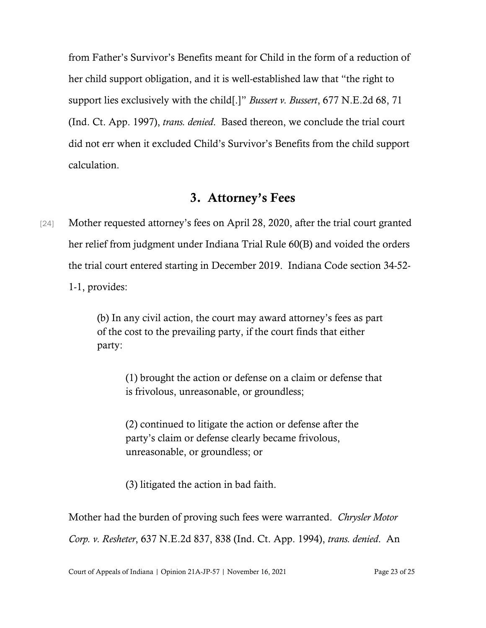from Father's Survivor's Benefits meant for Child in the form of a reduction of her child support obligation, and it is well-established law that "the right to support lies exclusively with the child[.]" *Bussert v. Bussert*, 677 N.E.2d 68, 71 (Ind. Ct. App. 1997), *trans. denied*. Based thereon, we conclude the trial court did not err when it excluded Child's Survivor's Benefits from the child support calculation.

### 3. Attorney's Fees

[24] Mother requested attorney's fees on April 28, 2020, after the trial court granted her relief from judgment under Indiana Trial Rule 60(B) and voided the orders the trial court entered starting in December 2019. Indiana Code section 34-52- 1-1, provides:

> (b) In any civil action, the court may award attorney's fees as part of the cost to the prevailing party, if the court finds that either party:

(1) brought the action or defense on a claim or defense that is frivolous, unreasonable, or groundless;

(2) continued to litigate the action or defense after the party's claim or defense clearly became frivolous, unreasonable, or groundless; or

(3) litigated the action in bad faith.

Mother had the burden of proving such fees were warranted. *Chrysler Motor Corp. v. Resheter*, 637 N.E.2d 837, 838 (Ind. Ct. App. 1994), *trans. denied*. An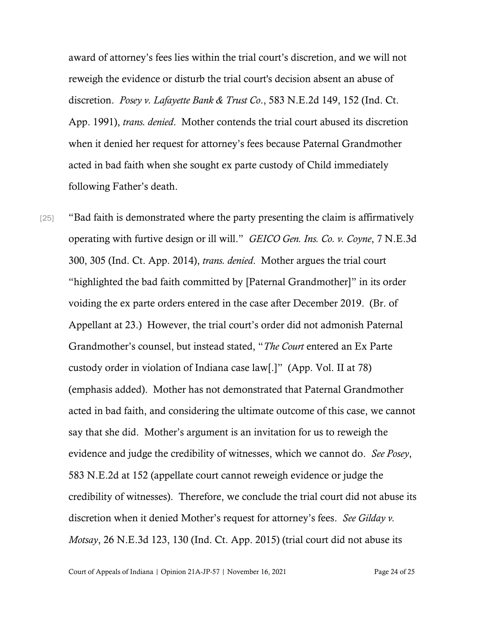award of attorney's fees lies within the trial court's discretion, and we will not reweigh the evidence or disturb the trial court's decision absent an abuse of discretion. *Posey v. Lafayette Bank & Trust Co*., 583 N.E.2d 149, 152 (Ind. Ct. App. 1991), *trans. denied*. Mother contends the trial court abused its discretion when it denied her request for attorney's fees because Paternal Grandmother acted in bad faith when she sought ex parte custody of Child immediately following Father's death.

[25] "Bad faith is demonstrated where the party presenting the claim is affirmatively operating with furtive design or ill will." *GEICO Gen. Ins. Co. v. Coyne*, 7 N.E.3d 300, 305 (Ind. Ct. App. 2014), *trans. denied*. Mother argues the trial court "highlighted the bad faith committed by [Paternal Grandmother]" in its order voiding the ex parte orders entered in the case after December 2019. (Br. of Appellant at 23.) However, the trial court's order did not admonish Paternal Grandmother's counsel, but instead stated, "*The Court* entered an Ex Parte custody order in violation of Indiana case law[.]" (App. Vol. II at 78) (emphasis added). Mother has not demonstrated that Paternal Grandmother acted in bad faith, and considering the ultimate outcome of this case, we cannot say that she did. Mother's argument is an invitation for us to reweigh the evidence and judge the credibility of witnesses, which we cannot do. *See Posey*, 583 N.E.2d at 152 (appellate court cannot reweigh evidence or judge the credibility of witnesses). Therefore, we conclude the trial court did not abuse its discretion when it denied Mother's request for attorney's fees. *See Gilday v. Motsay*, 26 N.E.3d 123, 130 (Ind. Ct. App. 2015) (trial court did not abuse its